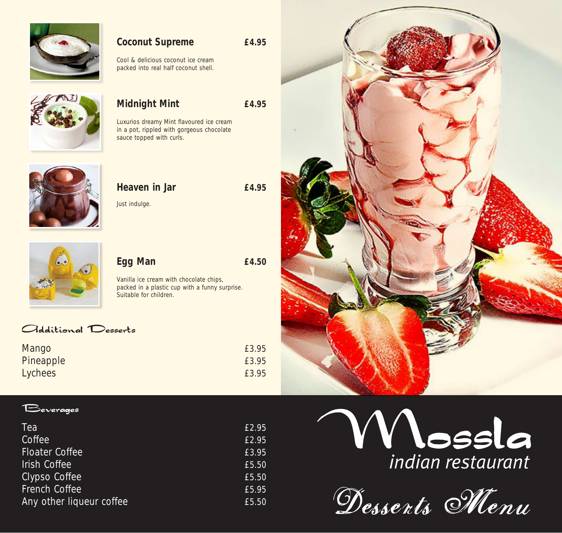

### **Coconut Supreme £4.95**

Cool & delicious coconut ice cream packed into real half coconut shell.



#### **Midnight Mint £4.95**

Luxurios dreamy Mint flavoured ice cream in a pot, rippled with gorgeous chocolate sauce topped with curls.



## **Heaven in Jar £4.95** Just indulge.



Vanilla ice cream with chocolate chips, packed in a plastic cup with a funny surprise. Suitable for children.

**Egg Man £4.50**

#### Odditional Desserts

| Mango     | £3.95 |
|-----------|-------|
| Pineapple | £3.95 |
| Lychees   | £3.95 |



| Tea                      | £2.95 |
|--------------------------|-------|
| Coffee                   | £2.95 |
| <b>Floater Coffee</b>    | £3.95 |
| <b>Irish Coffee</b>      | £5.50 |
| Clypso Coffee            | £5.50 |
| French Coffee            | £5.95 |
| Any other liqueur coffee | £5.50 |





Dessents Menu